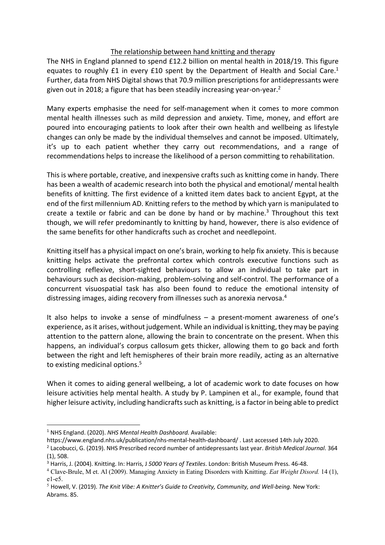## The relationship between hand knitting and therapy

The NHS in England planned to spend £12.2 billion on mental health in 2018/19. This figure equates to roughly £1 in every £10 spent by the Department of Health and Social Care.<sup>1</sup> Further, data from NHS Digital shows that 70.9 million prescriptions for antidepressants were given out in 2018; a figure that has been steadily increasing year-on-year.<sup>2</sup>

Many experts emphasise the need for self-management when it comes to more common mental health illnesses such as mild depression and anxiety. Time, money, and effort are poured into encouraging patients to look after their own health and wellbeing as lifestyle changes can only be made by the individual themselves and cannot be imposed. Ultimately, it's up to each patient whether they carry out recommendations, and a range of recommendations helps to increase the likelihood of a person committing to rehabilitation.

This is where portable, creative, and inexpensive crafts such as knitting come in handy. There has been a wealth of academic research into both the physical and emotional/ mental health benefits of knitting. The first evidence of a knitted item dates back to ancient Egypt, at the end of the first millennium AD. Knitting refers to the method by which yarn is manipulated to create a textile or fabric and can be done by hand or by machine.<sup>3</sup> Throughout this text though, we will refer predominantly to knitting by hand, however, there is also evidence of the same benefits for other handicrafts such as crochet and needlepoint.

Knitting itself has a physical impact on one's brain, working to help fix anxiety. This is because knitting helps activate the prefrontal cortex which controls executive functions such as controlling reflexive, short-sighted behaviours to allow an individual to take part in behaviours such as decision-making, problem-solving and self-control. The performance of a concurrent visuospatial task has also been found to reduce the emotional intensity of distressing images, aiding recovery from illnesses such as anorexia nervosa.<sup>4</sup>

It also helps to invoke a sense of mindfulness – a present-moment awareness of one's experience, as it arises, without judgement. While an individual is knitting, they may be paying attention to the pattern alone, allowing the brain to concentrate on the present. When this happens, an individual's corpus callosum gets thicker, allowing them to go back and forth between the right and left hemispheres of their brain more readily, acting as an alternative to existing medicinal options.<sup>5</sup>

When it comes to aiding general wellbeing, a lot of academic work to date focuses on how leisure activities help mental health. A study by P. Lampinen et al., for example, found that higher leisure activity, including handicrafts such as knitting, is a factor in being able to predict

<sup>1</sup> NHS England. (2020). *NHS Mental Health Dashboard.* Available:

https://www.england.nhs.uk/publication/nhs-mental-health-dashboard/ . Last accessed 14th July 2020.

<sup>2</sup> Lacobucci, G. (2019). NHS Prescribed record number of antidepressants last year. *British Medical Journal*. 364 (1), 508.

<sup>3</sup> Harris, J. (2004). Knitting. In: Harris, J *5000 Years of Textiles*. London: British Museum Press. 46-48.

<sup>4</sup> Clave-Brule, M et. Al (2009). Managing Anxiety in Eating Disorders with Knitting. *Eat Weight Disord.* 14 (1), e1-e5.

<sup>5</sup> Howell, V. (2019). *The Knit Vibe: A Knitter's Guide to Creativity, Community, and Well-being.* New York: Abrams. 85.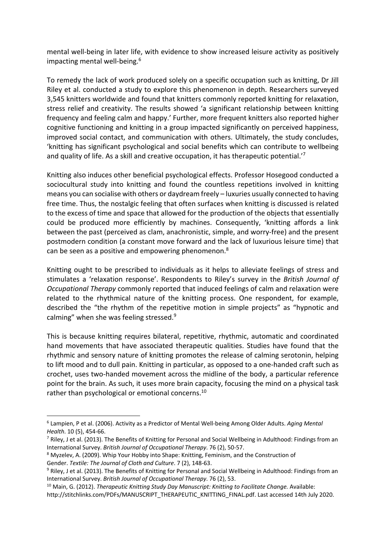mental well-being in later life, with evidence to show increased leisure activity as positively impacting mental well-being.<sup>6</sup>

To remedy the lack of work produced solely on a specific occupation such as knitting, Dr Jill Riley et al. conducted a study to explore this phenomenon in depth. Researchers surveyed 3,545 knitters worldwide and found that knitters commonly reported knitting for relaxation, stress relief and creativity. The results showed 'a significant relationship between knitting frequency and feeling calm and happy.' Further, more frequent knitters also reported higher cognitive functioning and knitting in a group impacted significantly on perceived happiness, improved social contact, and communication with others. Ultimately, the study concludes, 'knitting has significant psychological and social benefits which can contribute to wellbeing and quality of life. As a skill and creative occupation, it has therapeutic potential.'7

Knitting also induces other beneficial psychological effects. Professor Hosegood conducted a sociocultural study into knitting and found the countless repetitions involved in knitting means you can socialise with others or daydream freely – luxuries usually connected to having free time. Thus, the nostalgic feeling that often surfaces when knitting is discussed is related to the excess of time and space that allowed for the production of the objects that essentially could be produced more efficiently by machines. Consequently, 'knitting affords a link between the past (perceived as clam, anachronistic, simple, and worry-free) and the present postmodern condition (a constant move forward and the lack of luxurious leisure time) that can be seen as a positive and empowering phenomenon.<sup>8</sup>

Knitting ought to be prescribed to individuals as it helps to alleviate feelings of stress and stimulates a 'relaxation response'. Respondents to Riley's survey in the *British Journal of Occupational Therapy* commonly reported that induced feelings of calm and relaxation were related to the rhythmical nature of the knitting process. One respondent, for example, described the "the rhythm of the repetitive motion in simple projects" as "hypnotic and calming" when she was feeling stressed. $9$ 

This is because knitting requires bilateral, repetitive, rhythmic, automatic and coordinated hand movements that have associated therapeutic qualities. Studies have found that the rhythmic and sensory nature of knitting promotes the release of calming serotonin, helping to lift mood and to dull pain. Knitting in particular, as opposed to a one-handed craft such as crochet, uses two-handed movement across the midline of the body, a particular reference point for the brain. As such, it uses more brain capacity, focusing the mind on a physical task rather than psychological or emotional concerns.<sup>10</sup>

<sup>6</sup> Lampien, P et al. (2006). Activity as a Predictor of Mental Well-being Among Older Adults. *Aging Mental Health*. 10 (5), 454-66.

 $^7$  Riley, J et al. (2013). The Benefits of Knitting for Personal and Social Wellbeing in Adulthood: Findings from an International Survey. *British Journal of Occupational Therapy*. 76 (2), 50-57.

<sup>8</sup> Myzelev, A. (2009). Whip Your Hobby into Shape: Knitting, Feminism, and the Construction of Gender. *Textile: The Journal of Cloth and Culture*. 7 (2), 148-63.

<sup>&</sup>lt;sup>9</sup> Riley, J et al. (2013). The Benefits of Knitting for Personal and Social Wellbeing in Adulthood: Findings from an International Survey. *British Journal of Occupational Therapy*. 76 (2), 53.

<sup>10</sup> Main, G. (2012). *Therapeutic Knitting Study Day Manuscript: Knitting to Facilitate Change.* Available:

http://stitchlinks.com/PDFs/MANUSCRIPT\_THERAPEUTIC\_KNITTING\_FINAL.pdf. Last accessed 14th July 2020.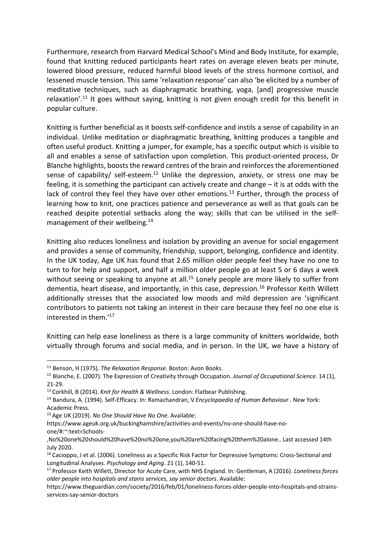Furthermore, research from Harvard Medical School's Mind and Body Institute, for example, found that knitting reduced participants heart rates on average eleven beats per minute, lowered blood pressure, reduced harmful blood levels of the stress hormone cortisol, and lessened muscle tension. This same 'relaxation response' can also 'be elicited by a number of meditative techniques, such as diaphragmatic breathing, yoga, [and] progressive muscle relaxation'.<sup>11</sup> It goes without saying, knitting is not given enough credit for this benefit in popular culture.

Knitting is further beneficial as it boosts self-confidence and instils a sense of capability in an individual. Unlike meditation or diaphragmatic breathing, knitting produces a tangible and often useful product. Knitting a jumper, for example, has a specific output which is visible to all and enables a sense of satisfaction upon completion. This product-oriented process, Dr Blanche highlights, boosts the reward centres of the brain and reinforces the aforementioned sense of capability/ self-esteem.<sup>12</sup> Unlike the depression, anxiety, or stress one may be feeling, it is something the participant can actively create and change – it is at odds with the lack of control they feel they have over other emotions.<sup>13</sup> Further, through the process of learning how to knit, one practices patience and perseverance as well as that goals can be reached despite potential setbacks along the way; skills that can be utilised in the selfmanagement of their wellbeing.14

Knitting also reduces loneliness and isolation by providing an avenue for social engagement and provides a sense of community, friendship, support, belonging, confidence and identity. In the UK today, Age UK has found that 2.65 million older people feel they have no one to turn to for help and support, and half a million older people go at least 5 or 6 days a week without seeing or speaking to anyone at all.<sup>15</sup> Lonely people are more likely to suffer from dementia, heart disease, and importantly, in this case, depression.<sup>16</sup> Professor Keith Willett additionally stresses that the associated low moods and mild depression are 'significant contributors to patients not taking an interest in their care because they feel no one else is interested in them.'17

Knitting can help ease loneliness as there is a large community of knitters worldwide, both virtually through forums and social media, and in person. In the UK, we have a history of

<sup>15</sup> Age UK (2019). *No One Should Have No One.* Available:

https://www.ageuk.org.uk/buckinghamshire/activities-and-events/no-one-should-have-noone/#:~:text=Schools-

<sup>11</sup> Benson, H (1975). *The Relaxation Response*. Boston: Avon Books.

<sup>12</sup> Blanche, E. (2007). The Expression of Creativity through Occupation. *Journal of Occupational Science*. 14 (1), 21-29.

<sup>13</sup> Corkhill, B (2014). *Knit for Health & Wellness*. London: Flatbear Publishing.

<sup>14</sup> Bandura, A. (1994). Self-Efficacy. In: Ramachandran, V *Encyclopaedia of Human Behaviour* . New York: Academic Press.

<sup>,</sup>No%20one%20should%20have%20no%20one,you%20are%20facing%20them%20alone.. Last accessed 14th July 2020.

<sup>&</sup>lt;sup>16</sup> Cacioppo, J et al. (2006). Loneliness as a Specific Risk Factor for Depressive Symptoms: Cross-Sectional and Longitudinal Analyses. *Psychology and Aging*. 21 (1), 140-51.

<sup>17</sup> Professor Keith Willett, Director for Acute Care, with NHS England. In: Gentleman, A (2016). *Loneliness forces older people into hospitals and stains services, say senior doctors*. Available:

https://www.theguardian.com/society/2016/feb/01/loneliness-forces-older-people-into-hospitals-and-strainsservices-say-senior-doctors